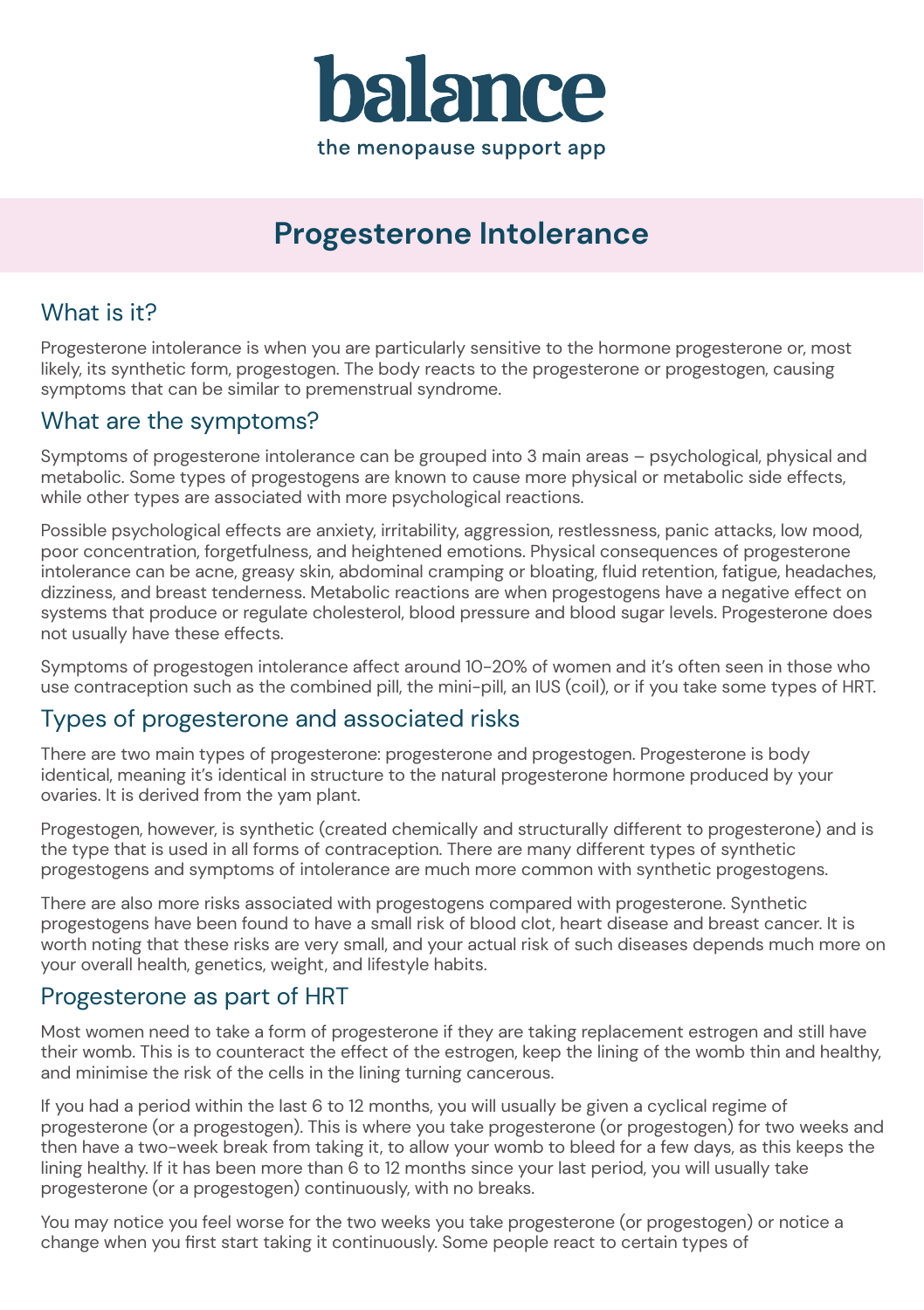

# **Progesterone Intolerance**

# What is it?

Progesterone intolerance is when you are particularly sensitive to the hormone progesterone or, most likely, its synthetic form, progestogen. The body reacts to the progesterone or progestogen, causing symptoms that can be similar to premenstrual syndrome.

## What are the symptoms?

Symptoms of progesterone intolerance can be grouped into 3 main areas – psychological, physical and metabolic. Some types of progestogens are known to cause more physical or metabolic side effects, while other types are associated with more psychological reactions.

Possible psychological effects are anxiety, irritability, aggression, restlessness, panic attacks, low mood, poor concentration, forgetfulness, and heightened emotions. Physical consequences of progesterone intolerance can be acne, greasy skin, abdominal cramping or bloating, fluid retention, fatigue, headaches, dizziness, and breast tenderness. Metabolic reactions are when progestogens have a negative effect on systems that produce or regulate cholesterol, blood pressure and blood sugar levels. Progesterone does not usually have these effects.

Symptoms of progestogen intolerance affect around 10-20% of women and it's often seen in those who use contraception such as the combined pill, the mini-pill, an IUS (coil), or if you take some types of HRT.

## Types of progesterone and associated risks

There are two main types of progesterone: progesterone and progestogen. Progesterone is body identical, meaning it's identical in structure to the natural progesterone hormone produced by your ovaries. It is derived from the yam plant.

Progestogen, however, is synthetic (created chemically and structurally different to progesterone) and is the type that is used in all forms of contraception. There are many different types of synthetic progestogens and symptoms of intolerance are much more common with synthetic progestogens.

There are also more risks associated with progestogens compared with progesterone. Synthetic progestogens have been found to have a small risk of blood clot, heart disease and breast cancer. It is worth noting that these risks are very small, and your actual risk of such diseases depends much more on your overall health, genetics, weight, and lifestyle habits.

## Progesterone as part of HRT

Most women need to take a form of progesterone if they are taking replacement estrogen and still have their womb. This is to counteract the effect of the estrogen, keep the lining of the womb thin and healthy, and minimise the risk of the cells in the lining turning cancerous.

If you had a period within the last 6 to 12 months, you will usually be given a cyclical regime of progesterone (or a progestogen). This is where you take progesterone (or progestogen) for two weeks and then have a two-week break from taking it, to allow your womb to bleed for a few days, as this keeps the lining healthy. If it has been more than 6 to 12 months since your last period, you will usually take progesterone (or a progestogen) continuously, with no breaks.

You may notice you feel worse for the two weeks you take progesterone (or progestogen) or notice a change when you first start taking it continuously. Some people react to certain types of